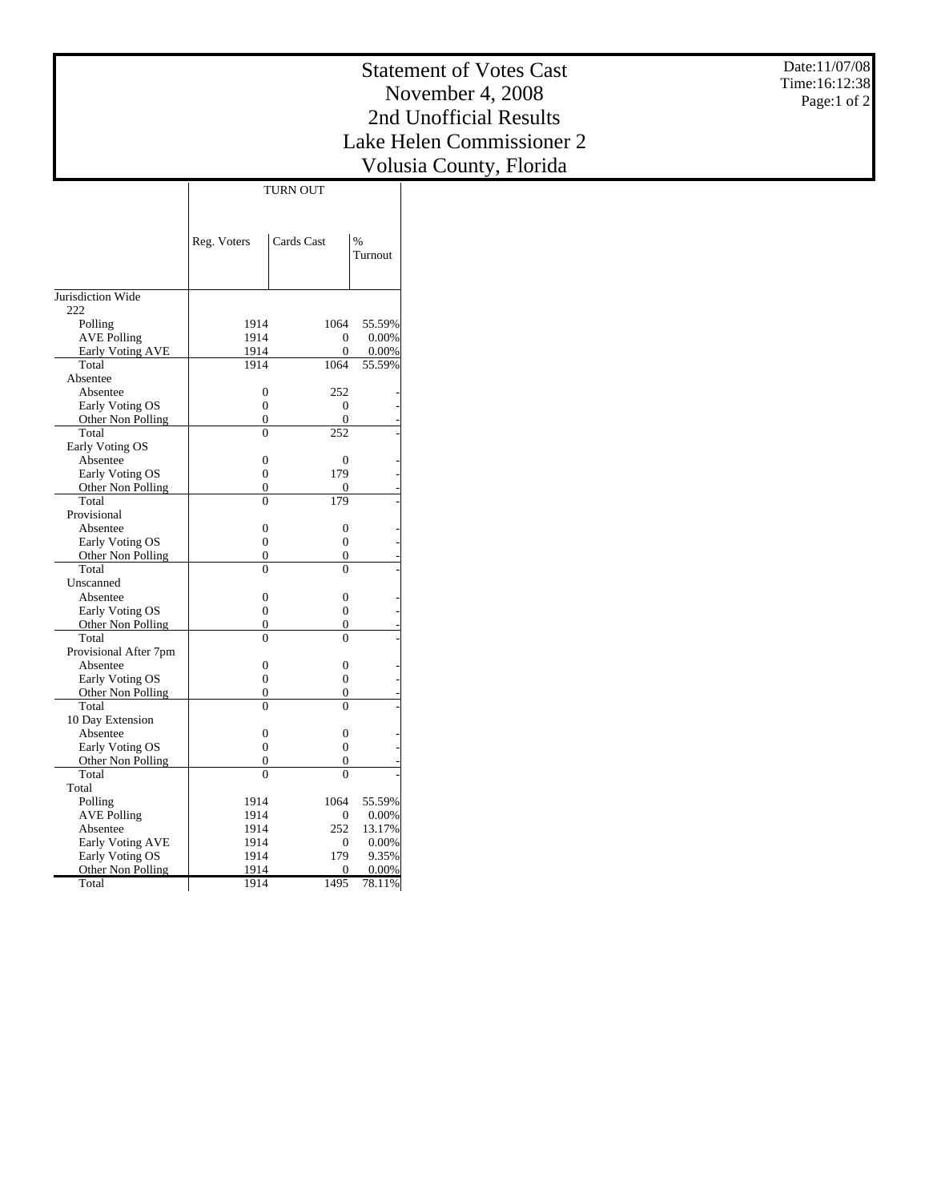Date:11/07/08 Time:16:12:38 Page:1 of 2

## Statement of Votes Cast November 4, 2008 2nd Unofficial Results Lake Helen Commissioner 2 Volusia County, Florida

TURN OUT

|                         | Reg. Voters      | Cards Cast       | $\frac{9}{6}$<br>Turnout |
|-------------------------|------------------|------------------|--------------------------|
| Jurisdiction Wide       |                  |                  |                          |
| 222                     |                  |                  |                          |
| Polling                 | 1914             | 1064             | 55.59%                   |
| <b>AVE Polling</b>      | 1914             | $\Omega$         | 0.00%                    |
| <b>Early Voting AVE</b> | 1914             | $\theta$         | 0.00%                    |
| Total                   | 1914             | 1064             | 55.59%                   |
| Absentee                |                  |                  |                          |
| Absentee                | $\overline{0}$   | 252              |                          |
| Early Voting OS         | 0                | 0                |                          |
| Other Non Polling       | $\overline{0}$   | 0                |                          |
| Total                   | $\overline{0}$   | 252              |                          |
| Early Voting OS         |                  |                  |                          |
| Absentee                | $\overline{0}$   | $\overline{0}$   |                          |
| Early Voting OS         | $\overline{0}$   | 179              |                          |
| Other Non Polling       | $\overline{0}$   | 0                |                          |
| Total                   | $\overline{0}$   | 179              |                          |
| Provisional             |                  |                  |                          |
| Absentee                | $\overline{0}$   | $\boldsymbol{0}$ |                          |
| Early Voting OS         | $\boldsymbol{0}$ | $\mathbf{0}$     |                          |
| Other Non Polling       | $\Omega$         | 0                |                          |
| Total                   | $\theta$         | $\theta$         |                          |
| Unscanned               |                  |                  |                          |
| Absentee                | $\overline{0}$   | $\mathbf{0}$     |                          |
| Early Voting OS         | $\overline{0}$   | $\overline{0}$   |                          |
| Other Non Polling       | $\overline{0}$   | 0                |                          |
| Total                   | $\theta$         | $\theta$         |                          |
| Provisional After 7pm   |                  |                  |                          |
| Absentee                | $\theta$         | $\Omega$         |                          |
| Early Voting OS         | $\theta$         | $\Omega$         |                          |
| Other Non Polling       | $\theta$         | 0                |                          |
| Total                   | $\theta$         | $\Omega$         |                          |
| 10 Day Extension        |                  |                  |                          |
| Absentee                | $\overline{0}$   | $\overline{0}$   |                          |
| Early Voting OS         | $\overline{0}$   | $\overline{0}$   |                          |
| Other Non Polling       | $\overline{0}$   | 0                |                          |
| Total                   | $\theta$         | $\theta$         |                          |
| Total                   |                  |                  |                          |
| Polling                 | 1914             | 1064             | 55.59%                   |
| <b>AVE Polling</b>      | 1914             | 0                | 0.00%                    |
| Absentee                | 1914             | 252              | 13.17%                   |
| <b>Early Voting AVE</b> | 1914             | 0                | 0.00%                    |
| Early Voting OS         | 1914             | 179              | 9.35%                    |
| Other Non Polling       | 1914             | 0                | 0.00%                    |
| Total                   | 1914             | 1495             | 78.11%                   |